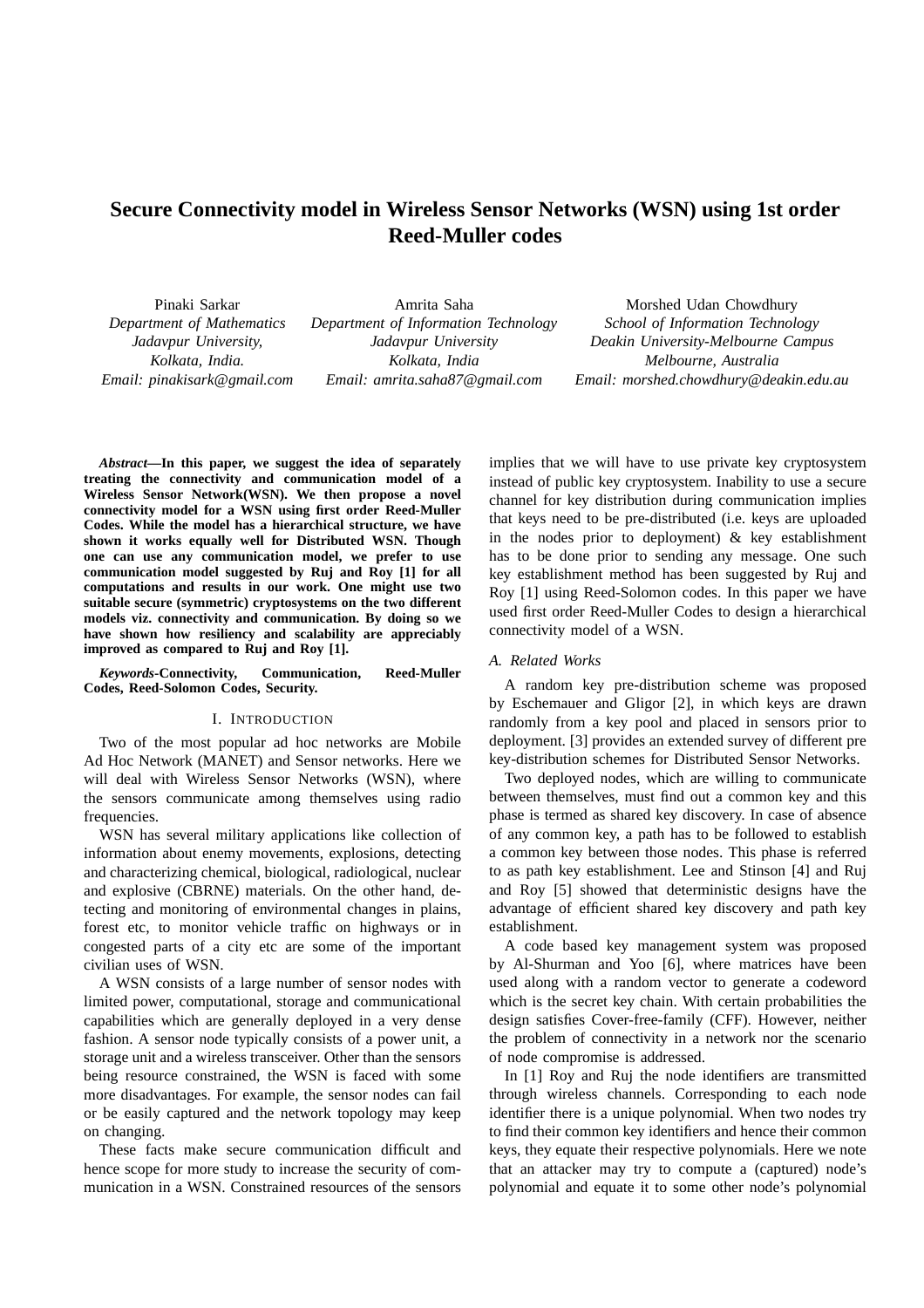# **Secure Connectivity model in Wireless Sensor Networks (WSN) using 1st order Reed-Muller codes**

Pinaki Sarkar *Department of Mathematics Jadavpur University, Kolkata, India. Email: pinakisark@gmail.com*

Amrita Saha *Department of Information Technology Jadavpur University Kolkata, India Email: amrita.saha87@gmail.com*

Morshed Udan Chowdhury *School of Information Technology Deakin University-Melbourne Campus Melbourne, Australia Email: morshed.chowdhury@deakin.edu.au*

*Abstract***—In this paper, we suggest the idea of separately treating the connectivity and communication model of a Wireless Sensor Network(WSN). We then propose a novel connectivity model for a WSN using first order Reed-Muller Codes. While the model has a hierarchical structure, we have shown it works equally well for Distributed WSN. Though one can use any communication model, we prefer to use communication model suggested by Ruj and Roy [1] for all computations and results in our work. One might use two suitable secure (symmetric) cryptosystems on the two different models viz. connectivity and communication. By doing so we have shown how resiliency and scalability are appreciably improved as compared to Ruj and Roy [1].**

*Keywords***-Connectivity, Communication, Reed-Muller Codes, Reed-Solomon Codes, Security.**

# I. INTRODUCTION

Two of the most popular ad hoc networks are Mobile Ad Hoc Network (MANET) and Sensor networks. Here we will deal with Wireless Sensor Networks (WSN), where the sensors communicate among themselves using radio frequencies.

WSN has several military applications like collection of information about enemy movements, explosions, detecting and characterizing chemical, biological, radiological, nuclear and explosive (CBRNE) materials. On the other hand, detecting and monitoring of environmental changes in plains, forest etc, to monitor vehicle traffic on highways or in congested parts of a city etc are some of the important civilian uses of WSN.

A WSN consists of a large number of sensor nodes with limited power, computational, storage and communicational capabilities which are generally deployed in a very dense fashion. A sensor node typically consists of a power unit, a storage unit and a wireless transceiver. Other than the sensors being resource constrained, the WSN is faced with some more disadvantages. For example, the sensor nodes can fail or be easily captured and the network topology may keep on changing.

These facts make secure communication difficult and hence scope for more study to increase the security of communication in a WSN. Constrained resources of the sensors

implies that we will have to use private key cryptosystem instead of public key cryptosystem. Inability to use a secure channel for key distribution during communication implies that keys need to be pre-distributed (i.e. keys are uploaded in the nodes prior to deployment) & key establishment has to be done prior to sending any message. One such key establishment method has been suggested by Ruj and Roy [1] using Reed-Solomon codes. In this paper we have used first order Reed-Muller Codes to design a hierarchical connectivity model of a WSN.

### *A. Related Works*

A random key pre-distribution scheme was proposed by Eschemauer and Gligor [2], in which keys are drawn randomly from a key pool and placed in sensors prior to deployment. [3] provides an extended survey of different pre key-distribution schemes for Distributed Sensor Networks.

Two deployed nodes, which are willing to communicate between themselves, must find out a common key and this phase is termed as shared key discovery. In case of absence of any common key, a path has to be followed to establish a common key between those nodes. This phase is referred to as path key establishment. Lee and Stinson [4] and Ruj and Roy [5] showed that deterministic designs have the advantage of efficient shared key discovery and path key establishment.

A code based key management system was proposed by Al-Shurman and Yoo [6], where matrices have been used along with a random vector to generate a codeword which is the secret key chain. With certain probabilities the design satisfies Cover-free-family (CFF). However, neither the problem of connectivity in a network nor the scenario of node compromise is addressed.

In [1] Roy and Ruj the node identifiers are transmitted through wireless channels. Corresponding to each node identifier there is a unique polynomial. When two nodes try to find their common key identifiers and hence their common keys, they equate their respective polynomials. Here we note that an attacker may try to compute a (captured) node's polynomial and equate it to some other node's polynomial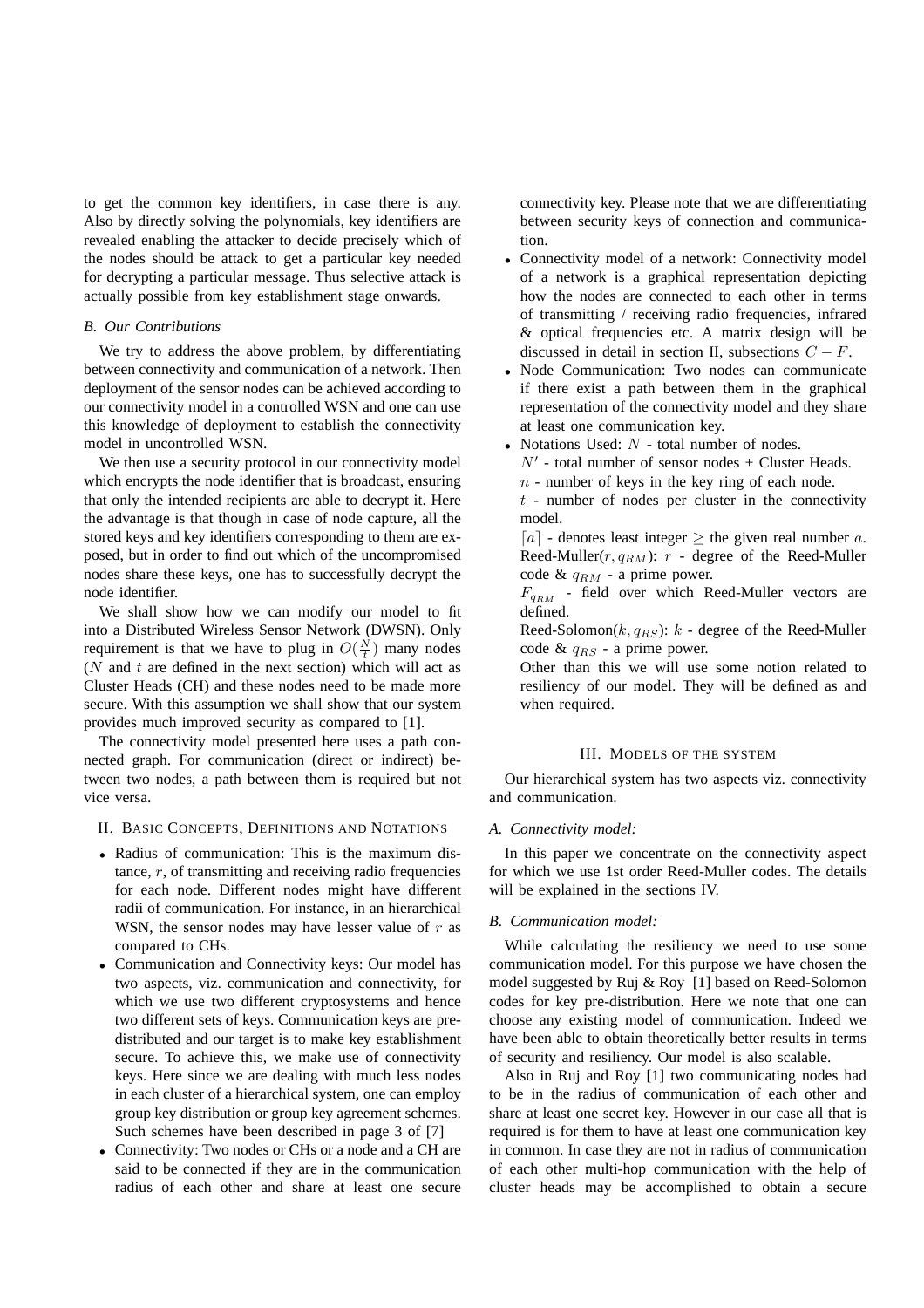to get the common key identifiers, in case there is any. Also by directly solving the polynomials, key identifiers are revealed enabling the attacker to decide precisely which of the nodes should be attack to get a particular key needed for decrypting a particular message. Thus selective attack is actually possible from key establishment stage onwards.

# *B. Our Contributions*

We try to address the above problem, by differentiating between connectivity and communication of a network. Then deployment of the sensor nodes can be achieved according to our connectivity model in a controlled WSN and one can use this knowledge of deployment to establish the connectivity model in uncontrolled WSN.

We then use a security protocol in our connectivity model which encrypts the node identifier that is broadcast, ensuring that only the intended recipients are able to decrypt it. Here the advantage is that though in case of node capture, all the stored keys and key identifiers corresponding to them are exposed, but in order to find out which of the uncompromised nodes share these keys, one has to successfully decrypt the node identifier.

We shall show how we can modify our model to fit into a Distributed Wireless Sensor Network (DWSN). Only requirement is that we have to plug in  $O(\frac{N}{t})$  many nodes  $(N$  and  $t$  are defined in the next section) which will act as Cluster Heads (CH) and these nodes need to be made more secure. With this assumption we shall show that our system provides much improved security as compared to [1].

The connectivity model presented here uses a path connected graph. For communication (direct or indirect) between two nodes, a path between them is required but not vice versa.

# II. BASIC CONCEPTS, DEFINITIONS AND NOTATIONS

- Radius of communication: This is the maximum distance,  $r$ , of transmitting and receiving radio frequencies for each node. Different nodes might have different radii of communication. For instance, in an hierarchical WSN, the sensor nodes may have lesser value of  $r$  as compared to CHs.
- Communication and Connectivity keys: Our model has two aspects, viz. communication and connectivity, for which we use two different cryptosystems and hence two different sets of keys. Communication keys are predistributed and our target is to make key establishment secure. To achieve this, we make use of connectivity keys. Here since we are dealing with much less nodes in each cluster of a hierarchical system, one can employ group key distribution or group key agreement schemes. Such schemes have been described in page 3 of [7]
- Connectivity: Two nodes or CHs or a node and a CH are said to be connected if they are in the communication radius of each other and share at least one secure

connectivity key. Please note that we are differentiating between security keys of connection and communication.

- Connectivity model of a network: Connectivity model of a network is a graphical representation depicting how the nodes are connected to each other in terms of transmitting / receiving radio frequencies, infrared & optical frequencies etc. A matrix design will be discussed in detail in section II, subsections  $C - F$ .
- Node Communication: Two nodes can communicate if there exist a path between them in the graphical representation of the connectivity model and they share at least one communication key.
- Notations Used:  $N$  total number of nodes.
	- $N'$  total number of sensor nodes + Cluster Heads.  $n$  - number of keys in the key ring of each node.

 $t$  - number of nodes per cluster in the connectivity model.

 $[a]$  - denotes least integer  $\geq$  the given real number a. Reed-Muller( $r, q_{RM}$ ):  $r$  - degree of the Reed-Muller code &  $q_{RM}$  - a prime power.

 $F_{q_{RM}}$  - field over which Reed-Muller vectors are defined.

Reed-Solomon $(k, q_{RS})$ :  $k$  - degree of the Reed-Muller code &  $q_{BS}$  - a prime power.

Other than this we will use some notion related to resiliency of our model. They will be defined as and when required.

# III. MODELS OF THE SYSTEM

Our hierarchical system has two aspects viz. connectivity and communication.

# *A. Connectivity model:*

In this paper we concentrate on the connectivity aspect for which we use 1st order Reed-Muller codes. The details will be explained in the sections IV.

# *B. Communication model:*

While calculating the resiliency we need to use some communication model. For this purpose we have chosen the model suggested by Ruj & Roy [1] based on Reed-Solomon codes for key pre-distribution. Here we note that one can choose any existing model of communication. Indeed we have been able to obtain theoretically better results in terms of security and resiliency. Our model is also scalable.

Also in Ruj and Roy [1] two communicating nodes had to be in the radius of communication of each other and share at least one secret key. However in our case all that is required is for them to have at least one communication key in common. In case they are not in radius of communication of each other multi-hop communication with the help of cluster heads may be accomplished to obtain a secure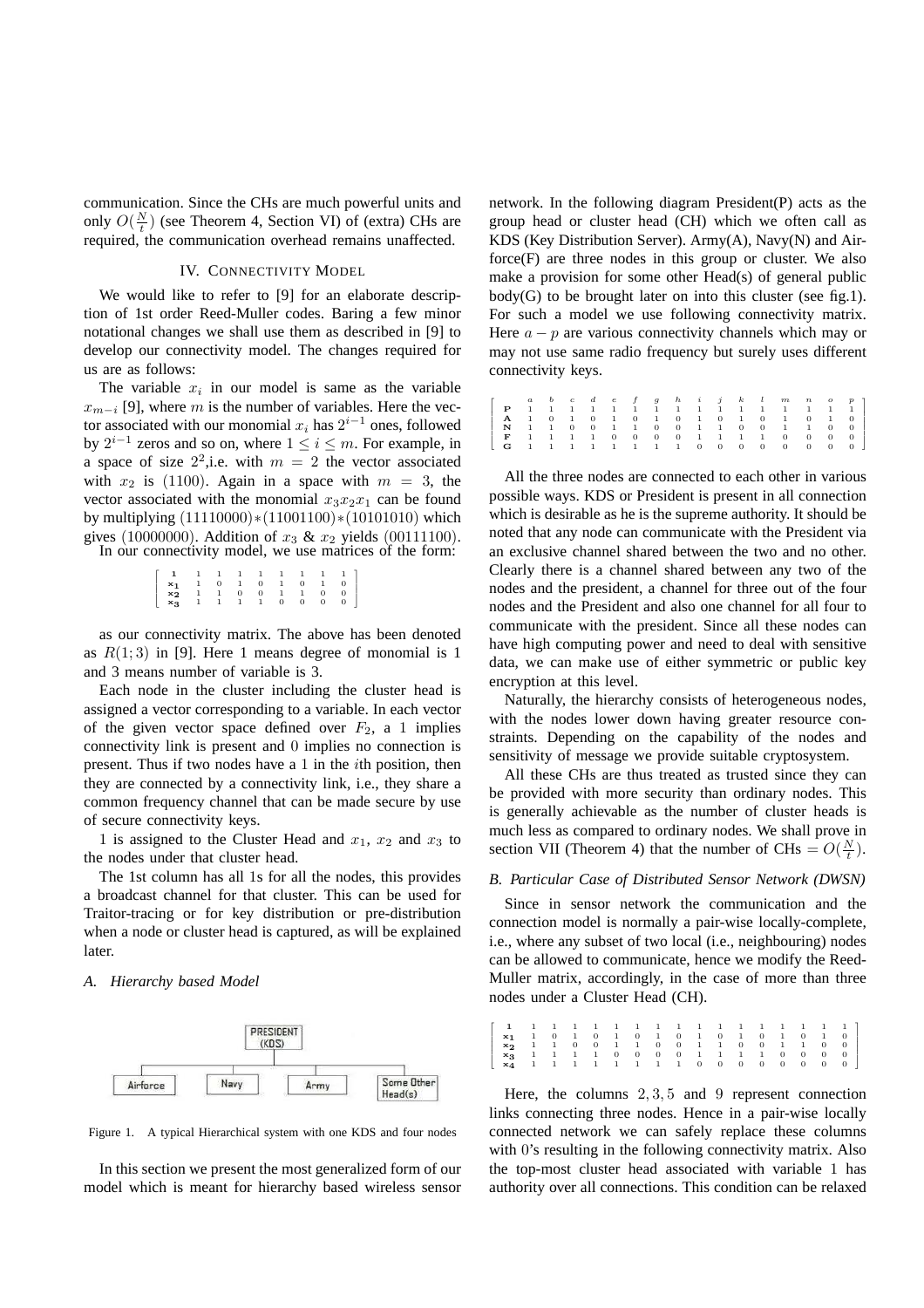communication. Since the CHs are much powerful units and only  $O(\frac{N}{t})$  (see Theorem 4, Section VI) of (extra) CHs are required, the communication overhead remains unaffected.

# IV. CONNECTIVITY MODEL

We would like to refer to [9] for an elaborate description of 1st order Reed-Muller codes. Baring a few minor notational changes we shall use them as described in [9] to develop our connectivity model. The changes required for us are as follows:

The variable  $x_i$  in our model is same as the variable  $x_{m-i}$  [9], where m is the number of variables. Here the vector associated with our monomial  $x_i$  has  $2^{i-1}$  ones, followed by  $2^{i-1}$  zeros and so on, where  $1 \leq i \leq m$ . For example, in a space of size  $2^2$ , i.e. with  $m = 2$  the vector associated with  $x_2$  is (1100). Again in a space with  $m = 3$ , the vector associated with the monomial  $x_3x_2x_1$  can be found by multiplying (11110000)∗(11001100)∗(10101010) which gives (10000000). Addition of  $x_3 \& x_2$  yields (00111100).

In our connectivity model, we use matrices of the form:

| $\left[ \begin{array}{cccccccc} 1 & 1 & 1 & 1 & 1 & 1 & 1 & 1 & 1 \\ \mathbf{x_1} & 1 & 0 & 1 & 0 & 1 & 0 & 1 \\ \mathbf{x_2} & 1 & 1 & 0 & 0 & 1 & 1 & 0 \\ \mathbf{x_3} & 1 & 1 & 1 & 1 & 0 & 0 & 0 \\ \end{array} \right]$ |  |  |  |  |  |
|-------------------------------------------------------------------------------------------------------------------------------------------------------------------------------------------------------------------------------|--|--|--|--|--|

as our connectivity matrix. The above has been denoted as  $R(1,3)$  in [9]. Here 1 means degree of monomial is 1 and 3 means number of variable is 3.

Each node in the cluster including the cluster head is assigned a vector corresponding to a variable. In each vector of the given vector space defined over  $F_2$ , a 1 implies connectivity link is present and 0 implies no connection is present. Thus if two nodes have a 1 in the ith position, then they are connected by a connectivity link, i.e., they share a common frequency channel that can be made secure by use of secure connectivity keys.

1 is assigned to the Cluster Head and  $x_1$ ,  $x_2$  and  $x_3$  to the nodes under that cluster head.

The 1st column has all 1s for all the nodes, this provides a broadcast channel for that cluster. This can be used for Traitor-tracing or for key distribution or pre-distribution when a node or cluster head is captured, as will be explained later.

### *A. Hierarchy based Model*



Figure 1. A typical Hierarchical system with one KDS and four nodes

In this section we present the most generalized form of our model which is meant for hierarchy based wireless sensor network. In the following diagram President(P) acts as the group head or cluster head (CH) which we often call as KDS (Key Distribution Server). Army(A), Navy(N) and Airforce(F) are three nodes in this group or cluster. We also make a provision for some other Head(s) of general public  $body(G)$  to be brought later on into this cluster (see fig.1). For such a model we use following connectivity matrix. Here  $a - p$  are various connectivity channels which may or may not use same radio frequency but surely uses different connectivity keys.

|  |  |  |  |  |  |  |  | r abcdef ghijkl mnop                                                                                       |
|--|--|--|--|--|--|--|--|------------------------------------------------------------------------------------------------------------|
|  |  |  |  |  |  |  |  | <b>P</b> 1 1 1 1 1 1 1 1 1 1 1 1 1 1 1 1 1                                                                 |
|  |  |  |  |  |  |  |  | <b>A</b> 1 0 1 0 1 0 1 0 1 0 1 0 1 0 1 0                                                                   |
|  |  |  |  |  |  |  |  |                                                                                                            |
|  |  |  |  |  |  |  |  | F 1 1 1 1 0 0 0 0 1 1 1 1 0 0 0 0                                                                          |
|  |  |  |  |  |  |  |  | $\begin{bmatrix} \mathbf{G} & 1 & 1 & 1 & 1 & 1 & 1 & 1 & 1 & 0 & 0 & 0 & 0 & 0 & 0 & 0 & 0 \end{bmatrix}$ |

All the three nodes are connected to each other in various possible ways. KDS or President is present in all connection which is desirable as he is the supreme authority. It should be noted that any node can communicate with the President via an exclusive channel shared between the two and no other. Clearly there is a channel shared between any two of the nodes and the president, a channel for three out of the four nodes and the President and also one channel for all four to communicate with the president. Since all these nodes can have high computing power and need to deal with sensitive data, we can make use of either symmetric or public key encryption at this level.

Naturally, the hierarchy consists of heterogeneous nodes, with the nodes lower down having greater resource constraints. Depending on the capability of the nodes and sensitivity of message we provide suitable cryptosystem.

All these CHs are thus treated as trusted since they can be provided with more security than ordinary nodes. This is generally achievable as the number of cluster heads is much less as compared to ordinary nodes. We shall prove in section VII (Theorem 4) that the number of CHs =  $O(\frac{N}{t})$ .

### *B. Particular Case of Distributed Sensor Network (DWSN)*

Since in sensor network the communication and the connection model is normally a pair-wise locally-complete, i.e., where any subset of two local (i.e., neighbouring) nodes can be allowed to communicate, hence we modify the Reed-Muller matrix, accordingly, in the case of more than three nodes under a Cluster Head (CH).

Here, the columns  $2, 3, 5$  and 9 represent connection links connecting three nodes. Hence in a pair-wise locally connected network we can safely replace these columns with 0's resulting in the following connectivity matrix. Also the top-most cluster head associated with variable 1 has authority over all connections. This condition can be relaxed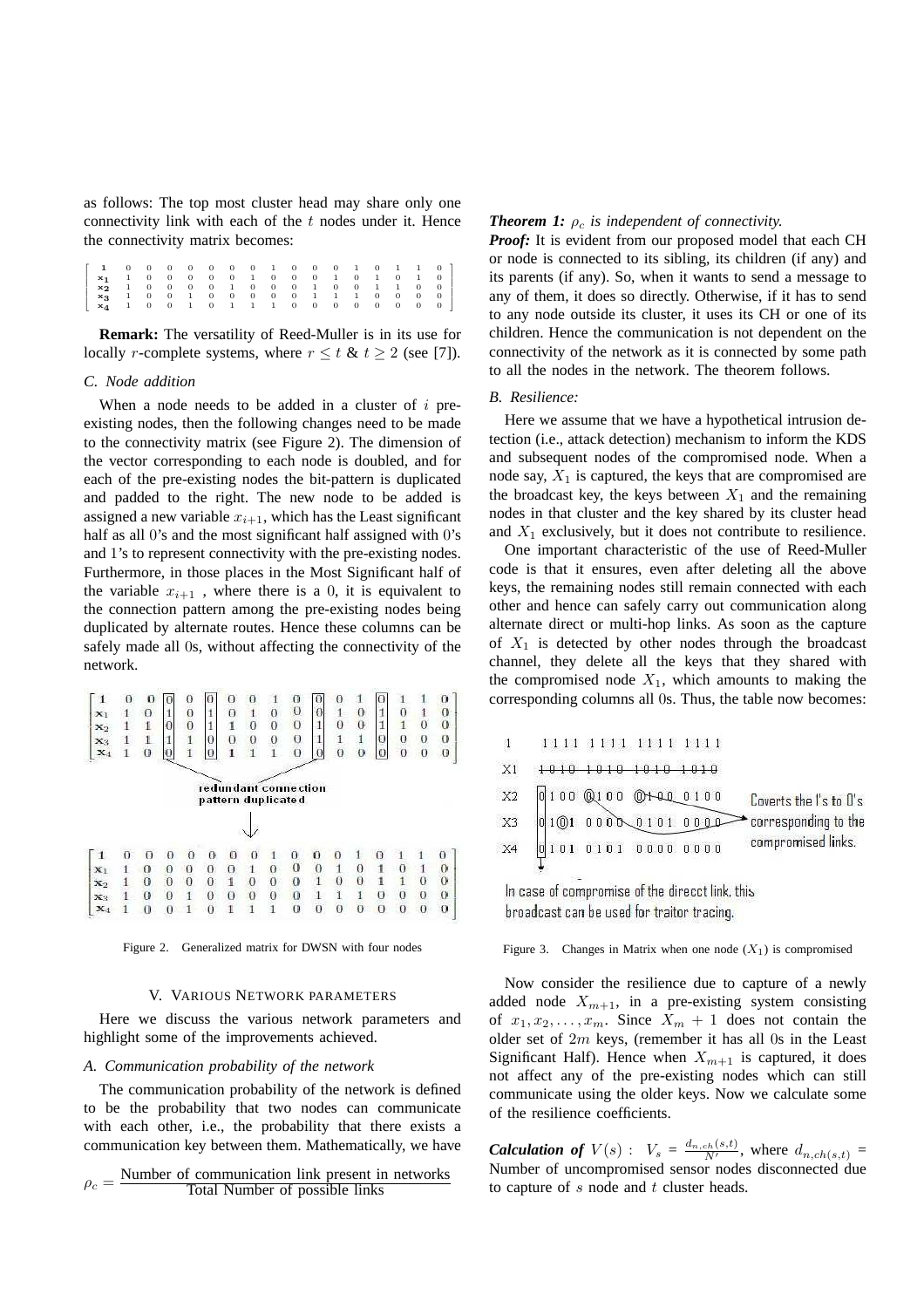as follows: The top most cluster head may share only one connectivity link with each of the  $t$  nodes under it. Hence the connectivity matrix becomes:

Г I ı I ł ı  $\begin{array}{cccccccccccc} \texttt{x1} & 0 & 0 & 0 & 0 & 0 & 0 & 1 & 0 & 0 & 0 & 1 & 0 & 1 & 1 & 0 \\ \texttt{x2} & 1 & 0 & 0 & 0 & 0 & 0 & 1 & 0 & 0 & 0 & 1 & 0 & 1 & 1 & 0 & 0 \\ \texttt{x3} & 1 & 0 & 0 & 0 & 0 & 1 & 0 & 0 & 0 & 1 & 0 & 0 & 1 & 1 & 0 & 0 \\ \texttt{x4} & 1 & 0 & 0 & 1 & 0 & 0 & 1 & 0 & 1 & 0 & 1 & 1 & 1 & 0 &$ 1 I  $\mathsf{I}$  $\mathsf{I}$ I  $\mathsf{I}$ 

**Remark:** The versatility of Reed-Muller is in its use for locally *r*-complete systems, where  $r \le t \& t \ge 2$  (see [7]).

# *C. Node addition*

When a node needs to be added in a cluster of  $i$  preexisting nodes, then the following changes need to be made to the connectivity matrix (see Figure 2). The dimension of the vector corresponding to each node is doubled, and for each of the pre-existing nodes the bit-pattern is duplicated and padded to the right. The new node to be added is assigned a new variable  $x_{i+1}$ , which has the Least significant half as all 0's and the most significant half assigned with 0's and 1's to represent connectivity with the pre-existing nodes. Furthermore, in those places in the Most Significant half of the variable  $x_{i+1}$ , where there is a 0, it is equivalent to the connection pattern among the pre-existing nodes being duplicated by alternate routes. Hence these columns can be safely made all 0s, without affecting the connectivity of the network.

| 1              |   | O |          | 0              |   | € |   |          | U                                          |          |              |   |   |                |          | O        |
|----------------|---|---|----------|----------------|---|---|---|----------|--------------------------------------------|----------|--------------|---|---|----------------|----------|----------|
| $\mathbf{x}_1$ |   | o |          | 0              |   | o |   | Ω        | 0                                          |          |              | 0 |   | 0              |          | 0        |
| $\mathbf{x}_2$ |   |   | Ð        | $\overline{0}$ |   |   | O | 0        | 0                                          |          | 0            | 0 |   |                | 0        | 0        |
| $\mathbf{x}_3$ |   |   |          | 1              |   | 0 | 0 | $\Omega$ | 0                                          |          |              | 1 | O | 0              | 0        | 0        |
| $\mathbf{x}_4$ |   | 0 |          |                |   |   |   |          | 0                                          |          | υ            | 0 | 0 | $\overline{0}$ | $\theta$ | 0        |
|                |   |   |          |                |   |   |   |          | redundant connection<br>pattern duplicated |          |              |   |   |                |          |          |
|                | ū | ū | Ð        | Ð              | о | и |   |          | o                                          | o        | o            |   | о |                |          | U        |
| $\mathbf{x}_1$ |   | 0 | 0        | о              | 0 | 0 |   | o        | $\sigma$                                   | $\theta$ | 1            | 0 |   | о              |          | 0        |
| $\mathbf{x}_2$ |   | o | 0        | $\Omega$       | 0 | 1 | 0 | o        | $\Omega$                                   | 1        | 0            | O |   |                | о        | $\Omega$ |
| $X_3$          |   | o | $\Omega$ | 1              | 0 | 0 | 0 | Ð        | $\overline{0}$                             |          | $\mathbf{1}$ |   | 0 | 0              | $\Omega$ | $\theta$ |
| $\mathbf{x}_4$ |   | 0 | 0        |                | ο |   |   |          | 0                                          | о        | 0            | 0 | θ | 0              |          | 0        |

Figure 2. Generalized matrix for DWSN with four nodes

### V. VARIOUS NETWORK PARAMETERS

Here we discuss the various network parameters and highlight some of the improvements achieved.

#### *A. Communication probability of the network*

The communication probability of the network is defined to be the probability that two nodes can communicate with each other, i.e., the probability that there exists a communication key between them. Mathematically, we have

$$
\rho_c = \frac{\text{Number of communication link present in networks}}{\text{Total Number of possible links}}
$$

# **Theorem 1:**  $\rho_c$  *is independent of connectivity.*

*Proof:* It is evident from our proposed model that each CH or node is connected to its sibling, its children (if any) and its parents (if any). So, when it wants to send a message to any of them, it does so directly. Otherwise, if it has to send to any node outside its cluster, it uses its CH or one of its children. Hence the communication is not dependent on the connectivity of the network as it is connected by some path to all the nodes in the network. The theorem follows.

# *B. Resilience:*

Here we assume that we have a hypothetical intrusion detection (i.e., attack detection) mechanism to inform the KDS and subsequent nodes of the compromised node. When a node say,  $X_1$  is captured, the keys that are compromised are the broadcast key, the keys between  $X_1$  and the remaining nodes in that cluster and the key shared by its cluster head and  $X_1$  exclusively, but it does not contribute to resilience.

One important characteristic of the use of Reed-Muller code is that it ensures, even after deleting all the above keys, the remaining nodes still remain connected with each other and hence can safely carry out communication along alternate direct or multi-hop links. As soon as the capture of  $X_1$  is detected by other nodes through the broadcast channel, they delete all the keys that they shared with the compromised node  $X_1$ , which amounts to making the corresponding columns all 0s. Thus, the table now becomes:

|                | 1111 1111 1111 1111 |  |                        |
|----------------|---------------------|--|------------------------|
| X1             | 1010 1010 1010 1010 |  |                        |
| X <sub>2</sub> | 0100 @100 @+44_0100 |  | Coverts the I's to O's |
| X <sub>3</sub> | 01010000001010000   |  | corresponding to the   |
| X <sub>4</sub> | 0101 0101 0000 0000 |  | compromised links.     |
|                |                     |  |                        |

In case of compromise of the direcct link, this broadcast can be used for traitor tracing.

Figure 3. Changes in Matrix when one node  $(X_1)$  is compromised

Now consider the resilience due to capture of a newly added node  $X_{m+1}$ , in a pre-existing system consisting of  $x_1, x_2, \ldots, x_m$ . Since  $X_m + 1$  does not contain the older set of  $2m$  keys, (remember it has all 0s in the Least Significant Half). Hence when  $X_{m+1}$  is captured, it does not affect any of the pre-existing nodes which can still communicate using the older keys. Now we calculate some of the resilience coefficients.

**Calculation of**  $V(s)$  :  $V_s = \frac{d_{n,ch}(s,t)}{N'}$ , where  $d_{n,ch}(s,t)$ Number of uncompromised sensor nodes disconnected due to capture of  $s$  node and  $t$  cluster heads.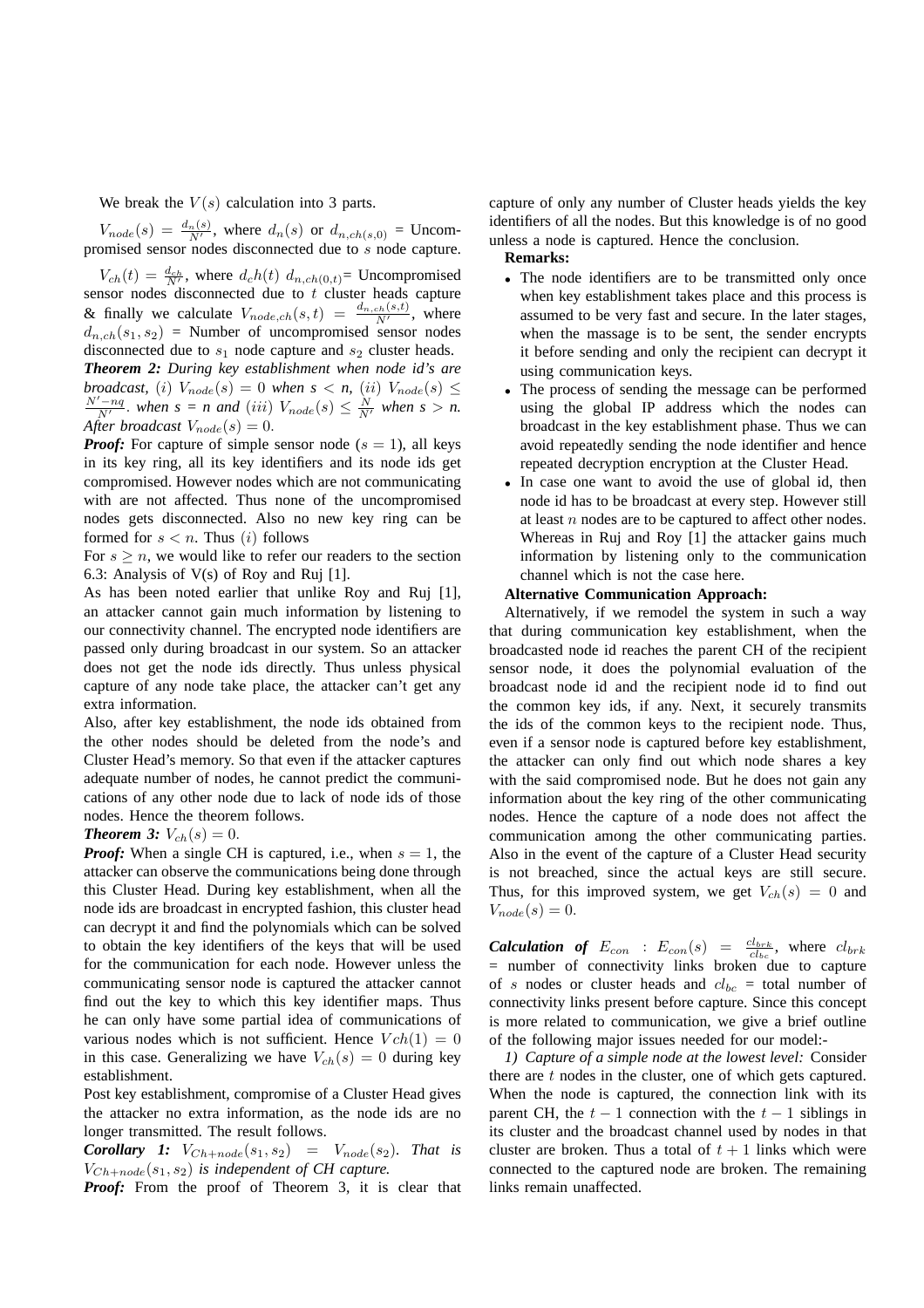We break the  $V(s)$  calculation into 3 parts.

 $V_{node}(s) = \frac{d_n(s)}{N'}$ , where  $d_n(s)$  or  $d_{n,ch(s,0)} =$  Uncompromised sensor nodes disconnected due to s node capture.

 $V_{ch}(t) = \frac{d_{ch}}{N'}$ , where  $d_c h(t) d_{n, ch(0,t)}$  Uncompromised sensor nodes disconnected due to  $t$  cluster heads capture & finally we calculate  $V_{node,ch}(s,t) = \frac{d_{n,ch}(s,t)}{N'}$ , where  $d_{n,ch}(s_1, s_2)$  = Number of uncompromised sensor nodes disconnected due to  $s_1$  node capture and  $s_2$  cluster heads. *Theorem 2: During key establishment when node id's are broadcast,* (i)  $V_{node}(s) = 0$  *when*  $s < n$ , (ii)  $V_{node}(s) \le$  $\frac{N'-nq}{N'}$ . when  $s = n$  and (iii)  $V_{node}(s) \leq \frac{N}{N'}$  when  $s > n$ . *After broadcast*  $V_{node}(s) = 0$ .

*Proof:* For capture of simple sensor node ( $s = 1$ ), all keys in its key ring, all its key identifiers and its node ids get compromised. However nodes which are not communicating with are not affected. Thus none of the uncompromised nodes gets disconnected. Also no new key ring can be formed for  $s < n$ . Thus  $(i)$  follows

For  $s \geq n$ , we would like to refer our readers to the section 6.3: Analysis of  $V(s)$  of Roy and Ruj [1].

As has been noted earlier that unlike Roy and Ruj [1], an attacker cannot gain much information by listening to our connectivity channel. The encrypted node identifiers are passed only during broadcast in our system. So an attacker does not get the node ids directly. Thus unless physical capture of any node take place, the attacker can't get any extra information.

Also, after key establishment, the node ids obtained from the other nodes should be deleted from the node's and Cluster Head's memory. So that even if the attacker captures adequate number of nodes, he cannot predict the communications of any other node due to lack of node ids of those nodes. Hence the theorem follows.

### *Theorem 3:*  $V_{ch}(s) = 0$ .

*Proof:* When a single CH is captured, i.e., when  $s = 1$ , the attacker can observe the communications being done through this Cluster Head. During key establishment, when all the node ids are broadcast in encrypted fashion, this cluster head can decrypt it and find the polynomials which can be solved to obtain the key identifiers of the keys that will be used for the communication for each node. However unless the communicating sensor node is captured the attacker cannot find out the key to which this key identifier maps. Thus he can only have some partial idea of communications of various nodes which is not sufficient. Hence  $Vch(1) = 0$ in this case. Generalizing we have  $V_{ch}(s) = 0$  during key establishment.

Post key establishment, compromise of a Cluster Head gives the attacker no extra information, as the node ids are no longer transmitted. The result follows.

**Corollary 1:**  $V_{Ch+node}(s_1, s_2) = V_{node}(s_2)$ . That is  $V_{Ch+node}(s_1, s_2)$  *is independent of CH capture.* 

*Proof:* From the proof of Theorem 3, it is clear that

capture of only any number of Cluster heads yields the key identifiers of all the nodes. But this knowledge is of no good unless a node is captured. Hence the conclusion.

# **Remarks:**

- The node identifiers are to be transmitted only once when key establishment takes place and this process is assumed to be very fast and secure. In the later stages, when the massage is to be sent, the sender encrypts it before sending and only the recipient can decrypt it using communication keys.
- The process of sending the message can be performed using the global IP address which the nodes can broadcast in the key establishment phase. Thus we can avoid repeatedly sending the node identifier and hence repeated decryption encryption at the Cluster Head.
- In case one want to avoid the use of global id, then node id has to be broadcast at every step. However still at least  $n$  nodes are to be captured to affect other nodes. Whereas in Ruj and Roy [1] the attacker gains much information by listening only to the communication channel which is not the case here.

# **Alternative Communication Approach:**

Alternatively, if we remodel the system in such a way that during communication key establishment, when the broadcasted node id reaches the parent CH of the recipient sensor node, it does the polynomial evaluation of the broadcast node id and the recipient node id to find out the common key ids, if any. Next, it securely transmits the ids of the common keys to the recipient node. Thus, even if a sensor node is captured before key establishment, the attacker can only find out which node shares a key with the said compromised node. But he does not gain any information about the key ring of the other communicating nodes. Hence the capture of a node does not affect the communication among the other communicating parties. Also in the event of the capture of a Cluster Head security is not breached, since the actual keys are still secure. Thus, for this improved system, we get  $V_{ch}(s) = 0$  and  $V_{node}(s) = 0.$ 

**Calculation of**  $E_{con}$  :  $E_{con}(s) = \frac{cl_{brk}}{cl_{bc}}$ , where  $cl_{brk}$ = number of connectivity links broken due to capture of s nodes or cluster heads and  $cl_{bc}$  = total number of connectivity links present before capture. Since this concept is more related to communication, we give a brief outline of the following major issues needed for our model:-

*1) Capture of a simple node at the lowest level:* Consider there are  $t$  nodes in the cluster, one of which gets captured. When the node is captured, the connection link with its parent CH, the  $t - 1$  connection with the  $t - 1$  siblings in its cluster and the broadcast channel used by nodes in that cluster are broken. Thus a total of  $t + 1$  links which were connected to the captured node are broken. The remaining links remain unaffected.